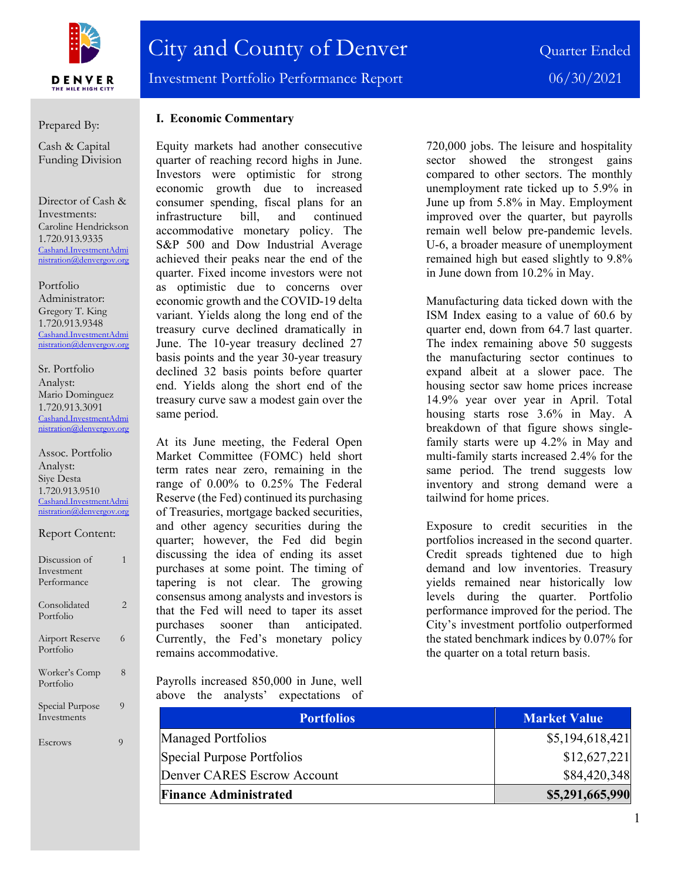

Prepared By:

Cash & Capital Funding Division

Director of Cash & Investments: Caroline Hendrickson 1.720.913.9335 [Cashand.InvestmentAdmi](mailto:Cashand.InvestmentAdministration@denvergov.org) [nistration@denvergov.org](mailto:Cashand.InvestmentAdministration@denvergov.org)

Portfolio Administrator: Gregory T. King 1.720.913.9348 [Cashand.InvestmentAdmi](mailto:Cashand.InvestmentAdministration@denvergov.org) [nistration@denvergov.org](mailto:Cashand.InvestmentAdministration@denvergov.org)

Sr. Portfolio Analyst: Mario Dominguez 1.720.913.3091 [Cashand.InvestmentAdmi](mailto:Cashand.InvestmentAdministration@denvergov.org) [nistration@denvergov.org](mailto:Cashand.InvestmentAdministration@denvergov.org)

Assoc. Portfolio Analyst: Siye Desta 1.720.913.9510 [Cashand.InvestmentAdmi](mailto:Cashand.InvestmentAdministration@denvergov.org) [nistration@denvergov.org](mailto:Cashand.InvestmentAdministration@denvergov.org)

|              | Report Content: |  |
|--------------|-----------------|--|
| $\mathbf{L}$ |                 |  |

| L/ISCUSSIOII OI<br>Investment<br>Performance | ш |
|----------------------------------------------|---|
| Consolidated<br>Portfolio                    | 2 |
| Airport Reserve<br>Portfolio                 | 6 |
| Worker's Comp<br>Portfolio                   | 8 |
| Special Purpose<br>Investments               | 9 |
| Escrows                                      | 9 |

## **I. Economic Commentary**

Equity markets had another consecutive quarter of reaching record highs in June. Investors were optimistic for strong economic growth due to increased consumer spending, fiscal plans for an infrastructure bill, and continued accommodative monetary policy. The S&P 500 and Dow Industrial Average achieved their peaks near the end of the quarter. Fixed income investors were not as optimistic due to concerns over economic growth and the COVID-19 delta variant. Yields along the long end of the treasury curve declined dramatically in June. The 10-year treasury declined 27 basis points and the year 30-year treasury declined 32 basis points before quarter end. Yields along the short end of the treasury curve saw a modest gain over the same period.

At its June meeting, the Federal Open Market Committee (FOMC) held short term rates near zero, remaining in the range of 0.00% to 0.25% The Federal Reserve (the Fed) continued its purchasing of Treasuries, mortgage backed securities, and other agency securities during the quarter; however, the Fed did begin discussing the idea of ending its asset purchases at some point. The timing of tapering is not clear. The growing consensus among analysts and investors is that the Fed will need to taper its asset purchases sooner than anticipated. Currently, the Fed's monetary policy remains accommodative.

Payrolls increased 850,000 in June, well above the analysts' expectations of 720,000 jobs. The leisure and hospitality sector showed the strongest gains compared to other sectors. The monthly unemployment rate ticked up to 5.9% in June up from 5.8% in May. Employment improved over the quarter, but payrolls remain well below pre-pandemic levels. U-6, a broader measure of unemployment remained high but eased slightly to 9.8% in June down from 10.2% in May.

Manufacturing data ticked down with the ISM Index easing to a value of 60.6 by quarter end, down from 64.7 last quarter. The index remaining above 50 suggests the manufacturing sector continues to expand albeit at a slower pace. The housing sector saw home prices increase 14.9% year over year in April. Total housing starts rose 3.6% in May. A breakdown of that figure shows singlefamily starts were up 4.2% in May and multi-family starts increased 2.4% for the same period. The trend suggests low inventory and strong demand were a tailwind for home prices.

Exposure to credit securities in the portfolios increased in the second quarter. Credit spreads tightened due to high demand and low inventories. Treasury yields remained near historically low levels during the quarter. Portfolio performance improved for the period. The City's investment portfolio outperformed the stated benchmark indices by 0.07% for the quarter on a total return basis.

| <b>Portfolios</b>            | <b>Market Value</b> |
|------------------------------|---------------------|
| Managed Portfolios           | \$5,194,618,421     |
| Special Purpose Portfolios   | \$12,627,221        |
| Denver CARES Escrow Account  | \$84,420,348        |
| <b>Finance Administrated</b> | \$5,291,665,990     |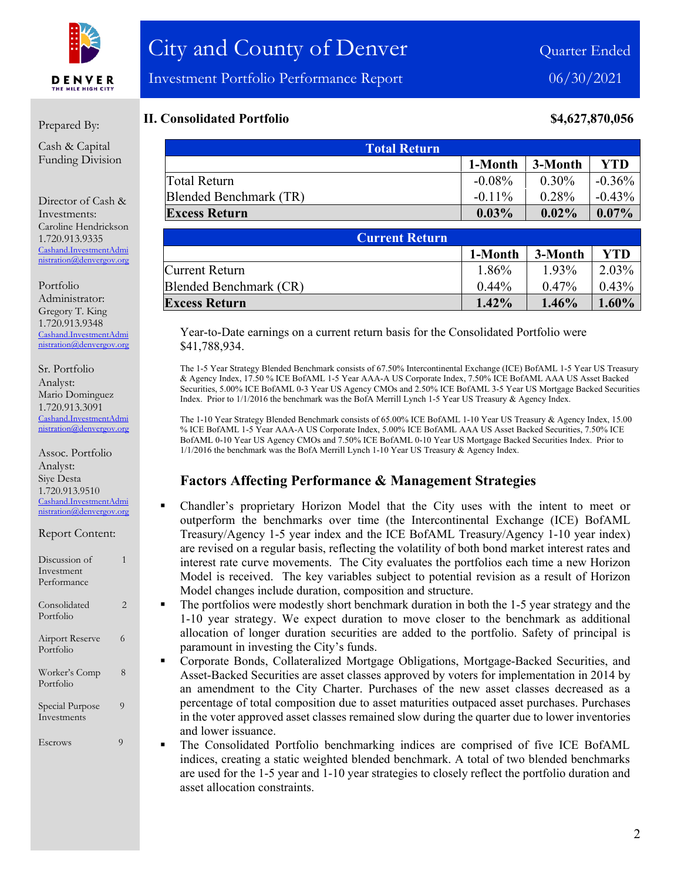

#### Prepared By:

Cash & Capital Funding Division

Director of Cash & Investments: Caroline Hendrickson 1.720.913.9335 [Cashand.InvestmentAdmi](mailto:Cashand.InvestmentAdministration@denvergov.org) [nistration@denvergov.org](mailto:Cashand.InvestmentAdministration@denvergov.org)

Portfolio Administrator: Gregory T. King 1.720.913.9348 [Cashand.InvestmentAdmi](mailto:Cashand.InvestmentAdministration@denvergov.org) [nistration@denvergov.org](mailto:Cashand.InvestmentAdministration@denvergov.org)

Sr. Portfolio Analyst: Mario Dominguez 1.720.913.3091 [Cashand.InvestmentAdmi](mailto:Cashand.InvestmentAdministration@denvergov.org) [nistration@denvergov.org](mailto:Cashand.InvestmentAdministration@denvergov.org)

Assoc. Portfolio Analyst: Siye Desta 1.720.913.9510 [Cashand.InvestmentAdmi](mailto:Cashand.InvestmentAdministration@denvergov.org) [nistration@denvergov.org](mailto:Cashand.InvestmentAdministration@denvergov.org)

| Report Content:                            |                |
|--------------------------------------------|----------------|
| Discussion of<br>Investment<br>Performance | 1              |
| Consolidated<br>Portfolio                  | $\overline{2}$ |
| Airport Reserve<br>Portfolio               | 6              |
| Worker's Comp<br>Portfolio                 | 8              |
| Special Purpose                            | 9              |

Investments

Escrows 9

## **II. Consolidated Portfolio 84,627,870,056**

| <b>Total Return</b>    |           |          |           |  |
|------------------------|-----------|----------|-----------|--|
|                        | 1-Month   | 3-Month  | YTD       |  |
| Total Return           | $-0.08\%$ | $0.30\%$ | $-0.36\%$ |  |
| Blended Benchmark (TR) | $-0.11\%$ | 0.28%    | $-0.43\%$ |  |
| <b>Excess Return</b>   | 0.03%     | $0.02\%$ | $0.07\%$  |  |

| <b>Current Return</b>  |          |          |          |  |
|------------------------|----------|----------|----------|--|
|                        | 1-Month  | 3-Month  | YTD      |  |
| Current Return         | 1.86%    | $1.93\%$ | 2.03%    |  |
| Blended Benchmark (CR) | $0.44\%$ | $0.47\%$ | $0.43\%$ |  |
| <b>Excess Return</b>   | $1.42\%$ | $1.46\%$ | $1.60\%$ |  |

Year-to-Date earnings on a current return basis for the Consolidated Portfolio were \$41,788,934.

The 1-5 Year Strategy Blended Benchmark consists of 67.50% Intercontinental Exchange (ICE) BofAML 1-5 Year US Treasury & Agency Index, 17.50 % ICE BofAML 1-5 Year AAA-A US Corporate Index, 7.50% ICE BofAML AAA US Asset Backed Securities, 5.00% ICE BofAML 0-3 Year US Agency CMOs and 2.50% ICE BofAML 3-5 Year US Mortgage Backed Securities Index. Prior to 1/1/2016 the benchmark was the BofA Merrill Lynch 1-5 Year US Treasury & Agency Index.

The 1-10 Year Strategy Blended Benchmark consists of 65.00% ICE BofAML 1-10 Year US Treasury & Agency Index, 15.00 % ICE BofAML 1-5 Year AAA-A US Corporate Index, 5.00% ICE BofAML AAA US Asset Backed Securities, 7.50% ICE BofAML 0-10 Year US Agency CMOs and 7.50% ICE BofAML 0-10 Year US Mortgage Backed Securities Index. Prior to 1/1/2016 the benchmark was the BofA Merrill Lynch 1-10 Year US Treasury & Agency Index.

## **Factors Affecting Performance & Management Strategies**

- Chandler's proprietary Horizon Model that the City uses with the intent to meet or outperform the benchmarks over time (the Intercontinental Exchange (ICE) BofAML Treasury/Agency 1-5 year index and the ICE BofAML Treasury/Agency 1-10 year index) are revised on a regular basis, reflecting the volatility of both bond market interest rates and interest rate curve movements. The City evaluates the portfolios each time a new Horizon Model is received. The key variables subject to potential revision as a result of Horizon Model changes include duration, composition and structure.
- The portfolios were modestly short benchmark duration in both the 1-5 year strategy and the 1-10 year strategy. We expect duration to move closer to the benchmark as additional allocation of longer duration securities are added to the portfolio. Safety of principal is paramount in investing the City's funds.
- Corporate Bonds, Collateralized Mortgage Obligations, Mortgage-Backed Securities, and Asset-Backed Securities are asset classes approved by voters for implementation in 2014 by an amendment to the City Charter. Purchases of the new asset classes decreased as a percentage of total composition due to asset maturities outpaced asset purchases. Purchases in the voter approved asset classes remained slow during the quarter due to lower inventories and lower issuance.
- The Consolidated Portfolio benchmarking indices are comprised of five ICE BofAML indices, creating a static weighted blended benchmark. A total of two blended benchmarks are used for the 1-5 year and 1-10 year strategies to closely reflect the portfolio duration and asset allocation constraints.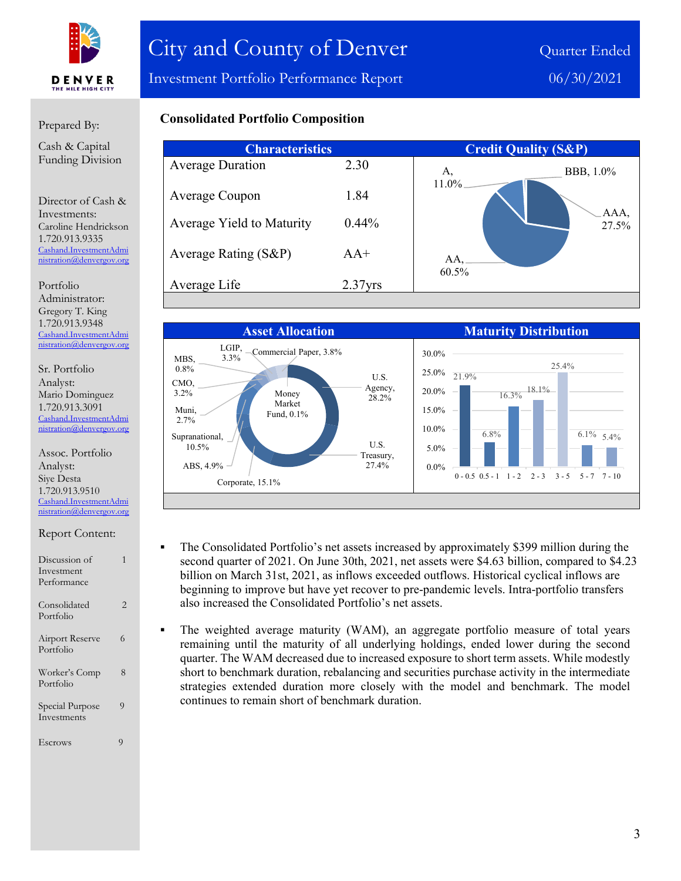

Investment Portfolio Performance Report 06/30/2021

## Prepared By:

Cash & Capital Funding Division

Director of Cash & Investments: Caroline Hendrickson 1.720.913.9335 [Cashand.InvestmentAdmi](mailto:Cashand.InvestmentAdministration@denvergov.org) [nistration@denvergov.org](mailto:Cashand.InvestmentAdministration@denvergov.org)

Portfolio Administrator: Gregory T. King 1.720.913.9348 [Cashand.InvestmentAdmi](mailto:Cashand.InvestmentAdministration@denvergov.org) [nistration@denvergov.org](mailto:Cashand.InvestmentAdministration@denvergov.org)

Sr. Portfolio Analyst: Mario Dominguez 1.720.913.3091 [Cashand.InvestmentAdmi](mailto:Cashand.InvestmentAdministration@denvergov.org) [nistration@denvergov.org](mailto:Cashand.InvestmentAdministration@denvergov.org)

Assoc. Portfolio Analyst: Siye Desta 1.720.913.9510 [Cashand.InvestmentAdmi](mailto:Cashand.InvestmentAdministration@denvergov.org) [nistration@denvergov.org](mailto:Cashand.InvestmentAdministration@denvergov.org)

| Report Content: |
|-----------------|
|-----------------|

| Discussion of                  |   |
|--------------------------------|---|
| Investment                     |   |
| Performance                    |   |
| Consolidated<br>Portfolio      | 2 |
| Airport Reserve<br>Portfolio   | 6 |
| Worker's Comp<br>Portfolio     | 8 |
| Special Purpose<br>Investments | 9 |
| Escrows                        | 9 |

## **Consolidated Portfolio Composition**

| <b>Characteristics</b>    |            | <b>Credit Quality (S&amp;P)</b> |
|---------------------------|------------|---------------------------------|
| <b>Average Duration</b>   | 2.30       | BBB, 1.0%<br>А,                 |
| Average Coupon            | 1.84       | 11.0%                           |
| Average Yield to Maturity | $0.44\%$   | AAA,<br>27.5%                   |
| Average Rating (S&P)      | $AA^+$     | $AA$ .<br>60.5%                 |
| Average Life              | $2.37$ yrs |                                 |



 The Consolidated Portfolio's net assets increased by approximately \$399 million during the second quarter of 2021. On June 30th, 2021, net assets were \$4.63 billion, compared to \$4.23 billion on March 31st, 2021, as inflows exceeded outflows. Historical cyclical inflows are beginning to improve but have yet recover to pre-pandemic levels. Intra-portfolio transfers also increased the Consolidated Portfolio's net assets.

 The weighted average maturity (WAM), an aggregate portfolio measure of total years remaining until the maturity of all underlying holdings, ended lower during the second quarter. The WAM decreased due to increased exposure to short term assets. While modestly short to benchmark duration, rebalancing and securities purchase activity in the intermediate strategies extended duration more closely with the model and benchmark. The model continues to remain short of benchmark duration.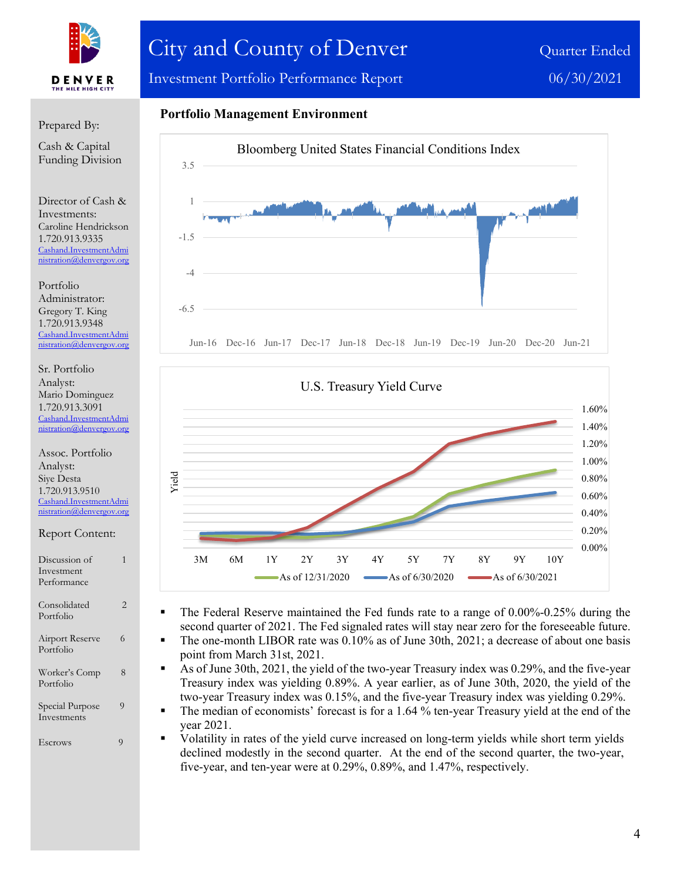

# City and County of Denver Cuarter Ended

Investment Portfolio Performance Report 06/30/2021

#### Prepared By:

Cash & Capital Funding Division

Director of Cash & Investments: Caroline Hendrickson 1.720.913.9335 [Cashand.InvestmentAdmi](mailto:Cashand.InvestmentAdministration@denvergov.org) [nistration@denvergov.org](mailto:Cashand.InvestmentAdministration@denvergov.org)

Portfolio Administrator: Gregory T. King 1.720.913.9348 [Cashand.InvestmentAdmi](mailto:Cashand.InvestmentAdministration@denvergov.org) [nistration@denvergov.org](mailto:Cashand.InvestmentAdministration@denvergov.org)

Sr. Portfolio Analyst: Mario Dominguez 1.720.913.3091 [Cashand.InvestmentAdmi](mailto:Cashand.InvestmentAdministration@denvergov.org) ration@denvergov.org

#### Assoc. Portfolio Analyst: Siye Desta 1.720.913.9510 [Cashand.InvestmentAdmi](mailto:Cashand.InvestmentAdministration@denvergov.org) [nistration@denvergov.org](mailto:Cashand.InvestmentAdministration@denvergov.org)

Report Content:

| Discussion of<br>Investment<br>Performance | 1              |
|--------------------------------------------|----------------|
| Consolidated<br>Portfolio                  | $\overline{2}$ |
| <b>Airport Reserve</b><br>Portfolio        | 6              |
| Worker's Comp<br>Portfolio                 | 8              |
| Special Purpose<br>Investments             | 9              |
| Escrows                                    | 9              |

## **Portfolio Management Environment**





The Federal Reserve maintained the Fed funds rate to a range of 0.00%-0.25% during the second quarter of 2021. The Fed signaled rates will stay near zero for the foreseeable future. The one-month LIBOR rate was 0.10% as of June 30th, 2021; a decrease of about one basis

- point from March 31st, 2021.
- As of June 30th, 2021, the yield of the two-year Treasury index was 0.29%, and the five-year Treasury index was yielding 0.89%. A year earlier, as of June 30th, 2020, the yield of the two-year Treasury index was 0.15%, and the five-year Treasury index was yielding 0.29%.
- The median of economists' forecast is for a 1.64 % ten-year Treasury yield at the end of the year 2021.
- Volatility in rates of the yield curve increased on long-term yields while short term yields declined modestly in the second quarter. At the end of the second quarter, the two-year, five-year, and ten-year were at 0.29%, 0.89%, and 1.47%, respectively.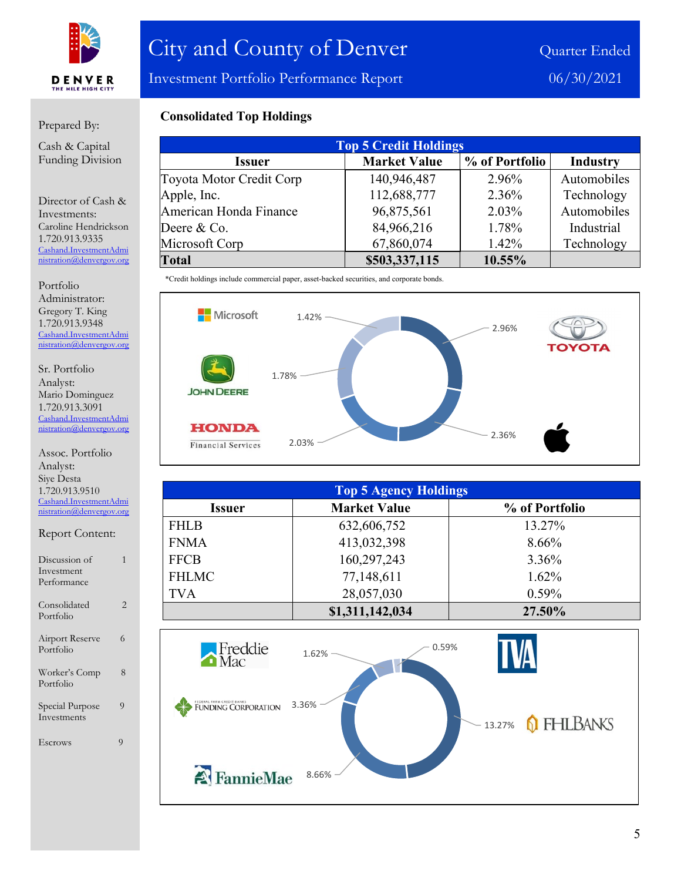

Investment Portfolio Performance Report 06/30/2021

## Prepared By:

Cash & Capital Funding Division

Director of Cash & Investments: Caroline Hendrickson 1.720.913.9335 [Cashand.InvestmentAdmi](mailto:Cashand.InvestmentAdministration@denvergov.org) [nistration@denvergov.org](mailto:Cashand.InvestmentAdministration@denvergov.org)

Portfolio Administrator: Gregory T. King 1.720.913.9348 [Cashand.InvestmentAdmi](mailto:Cashand.InvestmentAdministration@denvergov.org) [nistration@denvergov.org](mailto:Cashand.InvestmentAdministration@denvergov.org)

Sr. Portfolio Analyst: Mario Dominguez 1.720.913.3091 [Cashand.InvestmentAdmi](mailto:Cashand.InvestmentAdministration@denvergov.org) [nistration@denvergov.org](mailto:Cashand.InvestmentAdministration@denvergov.org)

Assoc. Portfolio Analyst: Siye Desta 1.720.913.9510 [Cashand.InvestmentAdmi](mailto:Cashand.InvestmentAdministration@denvergov.org) [nistration@denvergov.org](mailto:Cashand.InvestmentAdministration@denvergov.org)

Report Content: Discussion of 1 Investment Performance Consolidated 2 Portfolio Airport Reserve 6 Portfolio Worker's Comp 8 Portfolio Special Purpose 9 Investments Escrows 9

**Consolidated Top Holdings**

| <b>Top 5 Credit Holdings</b> |                     |                |                 |  |
|------------------------------|---------------------|----------------|-----------------|--|
| <b>Issuer</b>                | <b>Market Value</b> | % of Portfolio | <b>Industry</b> |  |
| Toyota Motor Credit Corp     | 140,946,487         | 2.96%          | Automobiles     |  |
| Apple, Inc.                  | 112,688,777         | 2.36%          | Technology      |  |
| American Honda Finance       | 96,875,561          | $2.03\%$       | Automobiles     |  |
| Deere & Co.                  | 84,966,216          | 1.78%          | Industrial      |  |
| Microsoft Corp               | 67,860,074          | $1.42\%$       | Technology      |  |
| <b>Total</b>                 | \$503,337,115       | 10.55%         |                 |  |

\*Credit holdings include commercial paper, asset-backed securities, and corporate bonds.



| <b>Top 5 Agency Holdings</b> |                     |                |  |
|------------------------------|---------------------|----------------|--|
| <b>Issuer</b>                | <b>Market Value</b> | % of Portfolio |  |
| <b>FHLB</b>                  | 632,606,752         | 13.27%         |  |
| <b>FNMA</b>                  | 413,032,398         | $8.66\%$       |  |
| <b>FFCB</b>                  | 160,297,243         | $3.36\%$       |  |
| <b>FHLMC</b>                 | 77,148,611          | $1.62\%$       |  |
| <b>TVA</b>                   | 28,057,030          | $0.59\%$       |  |
|                              | \$1,311,142,034     | 27.50%         |  |

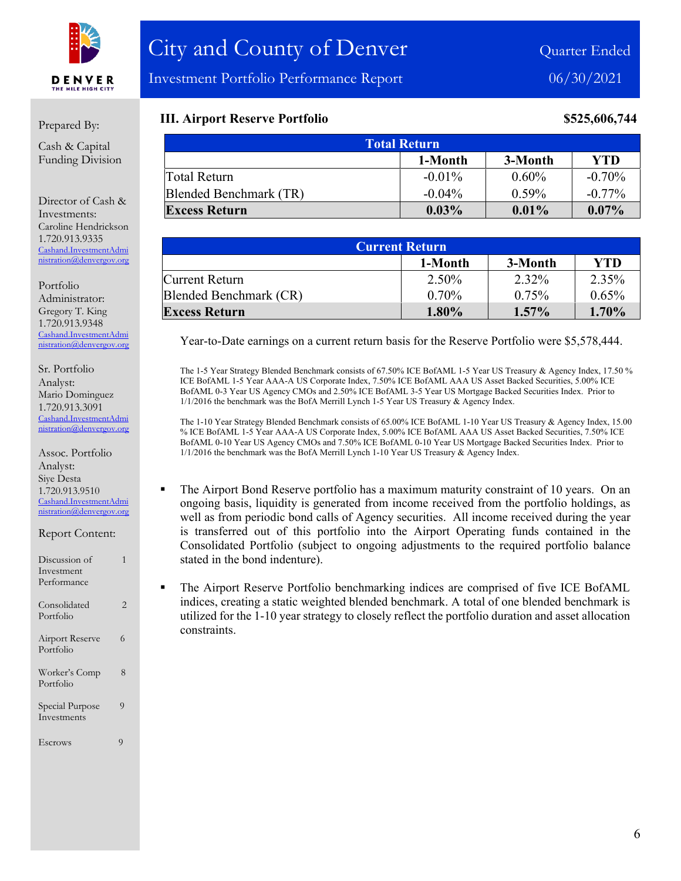

Investment Portfolio Performance Report 06/30/2021

#### Prepared By:

Cash & Capital Funding Division

Director of Cash & Investments: Caroline Hendrickson 1.720.913.9335 [Cashand.InvestmentAdmi](mailto:Cashand.InvestmentAdministration@denvergov.org) [nistration@denvergov.org](mailto:Cashand.InvestmentAdministration@denvergov.org)

Portfolio Administrator: Gregory T. King 1.720.913.9348 [Cashand.InvestmentAdmi](mailto:Cashand.InvestmentAdministration@denvergov.org) [nistration@denvergov.org](mailto:Cashand.InvestmentAdministration@denvergov.org)

Sr. Portfolio Analyst: Mario Dominguez 1.720.913.3091 [Cashand.InvestmentAdmi](mailto:Cashand.InvestmentAdministration@denvergov.org) [nistration@denvergov.org](mailto:Cashand.InvestmentAdministration@denvergov.org)

Assoc. Portfolio Analyst: Siye Desta 1.720.913.9510 [Cashand.InvestmentAdmi](mailto:Cashand.InvestmentAdministration@denvergov.org) [nistration@denvergov.org](mailto:Cashand.InvestmentAdministration@denvergov.org)

Report Content:

| Discussion of<br>Investment<br>Performance | 1              |
|--------------------------------------------|----------------|
| Consolidated<br>Portfolio                  | $\overline{2}$ |
| <b>Airport Reserve</b><br>Portfolio        | 6              |
| Worker's Comp<br>Portfolio                 | 8              |
| Special Purpose<br>Investments             | 9              |
| Escrows                                    | 9              |

## **III. Airport Reserve Portfolio \$525,606,744**

| <b>Total Return</b>    |           |          |           |
|------------------------|-----------|----------|-----------|
|                        | 1-Month   | 3-Month  | YTD       |
| Total Return           | $-0.01\%$ | $0.60\%$ | $-0.70%$  |
| Blended Benchmark (TR) | $-0.04\%$ | $0.59\%$ | $-0.77\%$ |
| <b>Excess Return</b>   | $0.03\%$  | $0.01\%$ | $0.07\%$  |

| <b>Current Return</b>  |          |          |            |
|------------------------|----------|----------|------------|
|                        | 1-Month  | 3-Month  | <b>YTD</b> |
| Current Return         | 2.50%    | 2.32%    | 2.35%      |
| Blended Benchmark (CR) | $0.70\%$ | 0.75%    | 0.65%      |
| <b>Excess Return</b>   | $1.80\%$ | $1.57\%$ | 1.70%      |

Year-to-Date earnings on a current return basis for the Reserve Portfolio were \$5,578,444.

The 1-5 Year Strategy Blended Benchmark consists of 67.50% ICE BofAML 1-5 Year US Treasury & Agency Index, 17.50 % ICE BofAML 1-5 Year AAA-A US Corporate Index, 7.50% ICE BofAML AAA US Asset Backed Securities, 5.00% ICE BofAML 0-3 Year US Agency CMOs and 2.50% ICE BofAML 3-5 Year US Mortgage Backed Securities Index. Prior to 1/1/2016 the benchmark was the BofA Merrill Lynch 1-5 Year US Treasury & Agency Index.

The 1-10 Year Strategy Blended Benchmark consists of 65.00% ICE BofAML 1-10 Year US Treasury & Agency Index, 15.00 % ICE BofAML 1-5 Year AAA-A US Corporate Index, 5.00% ICE BofAML AAA US Asset Backed Securities, 7.50% ICE BofAML 0-10 Year US Agency CMOs and 7.50% ICE BofAML 0-10 Year US Mortgage Backed Securities Index. Prior to 1/1/2016 the benchmark was the BofA Merrill Lynch 1-10 Year US Treasury & Agency Index.

- The Airport Bond Reserve portfolio has a maximum maturity constraint of 10 years. On an ongoing basis, liquidity is generated from income received from the portfolio holdings, as well as from periodic bond calls of Agency securities. All income received during the year is transferred out of this portfolio into the Airport Operating funds contained in the Consolidated Portfolio (subject to ongoing adjustments to the required portfolio balance stated in the bond indenture).
- The Airport Reserve Portfolio benchmarking indices are comprised of five ICE BofAML indices, creating a static weighted blended benchmark. A total of one blended benchmark is utilized for the 1-10 year strategy to closely reflect the portfolio duration and asset allocation constraints.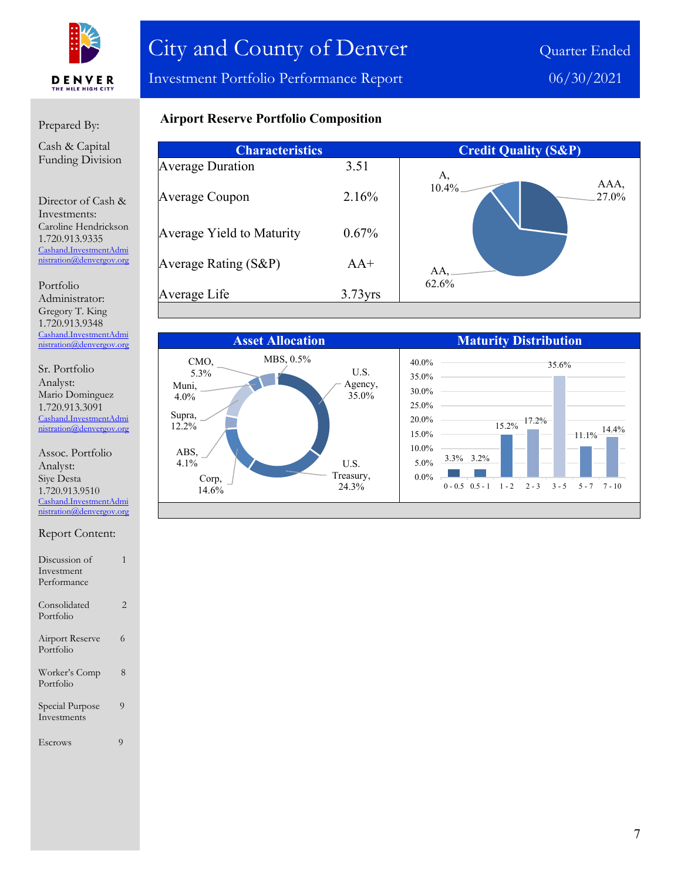

Investment Portfolio Performance Report 06/30/2021

## Prepared By:

Cash & Capital Funding Division

Director of Cash & Investments: Caroline Hendrickson 1.720.913.9335 [Cashand.InvestmentAdmi](mailto:Cashand.InvestmentAdministration@denvergov.org) [nistration@denvergov.org](mailto:Cashand.InvestmentAdministration@denvergov.org)

Portfolio Administrator: Gregory T. King 1.720.913.9348 [Cashand.InvestmentAdmi](mailto:Cashand.InvestmentAdministration@denvergov.org) [nistration@denvergov.org](mailto:Cashand.InvestmentAdministration@denvergov.org)

Sr. Portfolio Analyst: Mario Dominguez 1.720.913.3091 [Cashand.InvestmentAdmi](mailto:Cashand.InvestmentAdministration@denvergov.org) [nistration@denvergov.org](mailto:Cashand.InvestmentAdministration@denvergov.org)

Assoc. Portfolio Analyst: Siye Desta 1.720.913.9510 [Cashand.InvestmentAdmi](mailto:Cashand.InvestmentAdministration@denvergov.org) [nistration@denvergov.org](mailto:Cashand.InvestmentAdministration@denvergov.org)

|  | Report Content: |
|--|-----------------|
|--|-----------------|

| Discussion of<br>Investment    |   |
|--------------------------------|---|
| Performance                    |   |
| Consolidated<br>Portfolio      | 2 |
| Airport Reserve<br>Portfolio   | 6 |
| Worker's Comp<br>Portfolio     | 8 |
| Special Purpose<br>Investments | 9 |
| Escrows                        | Q |

## **Airport Reserve Portfolio Composition**

| <b>Characteristics</b>    |            | <b>Credit Quality (S&amp;P)</b> |
|---------------------------|------------|---------------------------------|
| <b>Average Duration</b>   | 3.51       | А,                              |
| Average Coupon            | 2.16%      | AAA,<br>$10.4\%$<br>27.0%       |
| Average Yield to Maturity | $0.67\%$   |                                 |
| Average Rating (S&P)      | $AA+$      | $AA$ .                          |
| Average Life              | $3.73$ yrs | 62.6%                           |

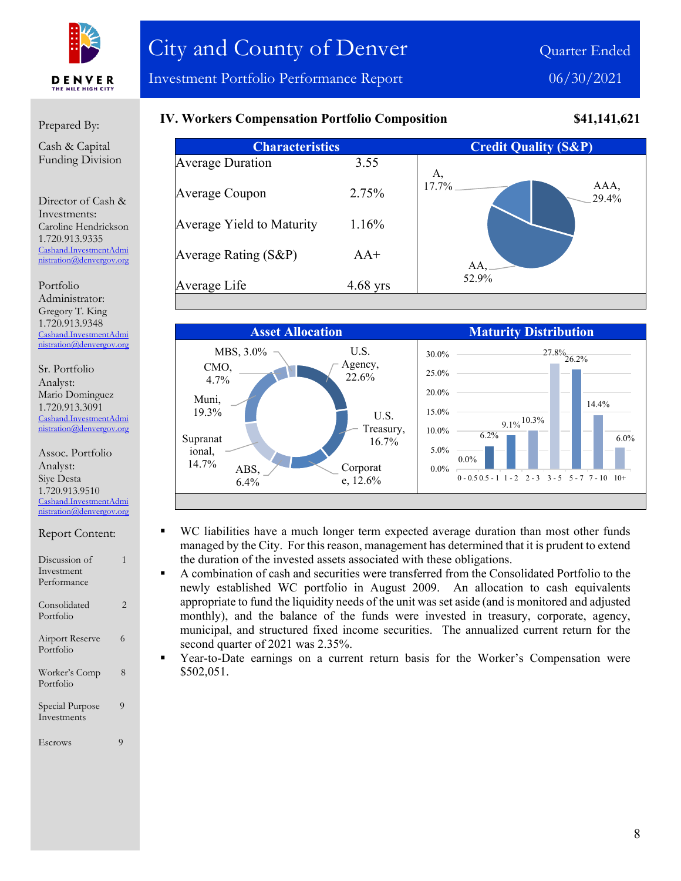

#### Prepared By:

Cash & Capital Funding Division

Director of Cash & Investments: Caroline Hendrickson 1.720.913.9335 [Cashand.InvestmentAdmi](mailto:Cashand.InvestmentAdministration@denvergov.org) [nistration@denvergov.org](mailto:Cashand.InvestmentAdministration@denvergov.org)

Portfolio Administrator: Gregory T. King 1.720.913.9348 [Cashand.InvestmentAdmi](mailto:Cashand.InvestmentAdministration@denvergov.org) [nistration@denvergov.org](mailto:Cashand.InvestmentAdministration@denvergov.org)

Sr. Portfolio Analyst: Mario Dominguez 1.720.913.3091 [Cashand.InvestmentAdmi](mailto:Cashand.InvestmentAdministration@denvergov.org) [nistration@denvergov.org](mailto:Cashand.InvestmentAdministration@denvergov.org)

Assoc. Portfolio Analyst: Siye Desta 1.720.913.9510 [Cashand.InvestmentAdmi](mailto:Cashand.InvestmentAdministration@denvergov.org) [nistration@denvergov.org](mailto:Cashand.InvestmentAdministration@denvergov.org)

| Discussion of |  |
|---------------|--|
| Investment    |  |

Report Content:

| Performance                    |   |
|--------------------------------|---|
| Consolidated<br>Portfolio      | 2 |
| Airport Reserve<br>Portfolio   | 6 |
| Worker's Comp<br>Portfolio     | 8 |
| Special Purpose<br>Investments | 9 |
| Escrows                        | 9 |

## **IV. Workers Compensation Portfolio Composition \$41,141,621**

| <b>Characteristics</b>    |            | <b>Credit Quality (S&amp;P)</b> |
|---------------------------|------------|---------------------------------|
| <b>Average Duration</b>   | 3.55       | А.                              |
| Average Coupon            | 2.75%      | 17.7%<br>AAA,<br>29.4%          |
| Average Yield to Maturity | 1.16%      |                                 |
| Average Rating (S&P)      | $AA^+$     | AA,                             |
| Average Life              | $4.68$ yrs | 52.9%                           |



- WC liabilities have a much longer term expected average duration than most other funds managed by the City. For this reason, management has determined that it is prudent to extend the duration of the invested assets associated with these obligations.
- A combination of cash and securities were transferred from the Consolidated Portfolio to the newly established WC portfolio in August 2009. An allocation to cash equivalents appropriate to fund the liquidity needs of the unit was set aside (and is monitored and adjusted monthly), and the balance of the funds were invested in treasury, corporate, agency, municipal, and structured fixed income securities. The annualized current return for the second quarter of 2021 was 2.35%.

 Year-to-Date earnings on a current return basis for the Worker's Compensation were \$502,051.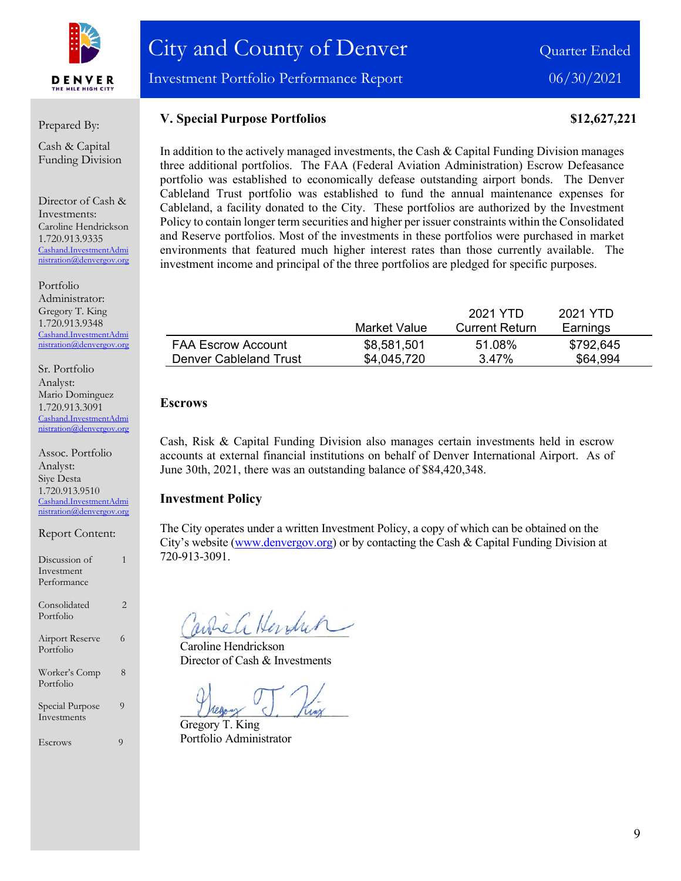

Investment Portfolio Performance Report 06/30/2021

#### Prepared By:

Cash & Capital Funding Division

Director of Cash & Investments: Caroline Hendrickson 1.720.913.9335 [Cashand.InvestmentAdmi](mailto:Cashand.InvestmentAdministration@denvergov.org) [nistration@denvergov.org](mailto:Cashand.InvestmentAdministration@denvergov.org)

Portfolio Administrator: Gregory T. King 1.720.913.9348 [Cashand.InvestmentAdmi](mailto:Cashand.InvestmentAdministration@denvergov.org) [nistration@denvergov.org](mailto:Cashand.InvestmentAdministration@denvergov.org)

Sr. Portfolio Analyst: Mario Dominguez 1.720.913.3091 [Cashand.InvestmentAdmi](mailto:Cashand.InvestmentAdministration@denvergov.org) [nistration@denvergov.org](mailto:Cashand.InvestmentAdministration@denvergov.org)

Assoc. Portfolio Analyst: Siye Desta 1.720.913.9510 [Cashand.InvestmentAdmi](mailto:Cashand.InvestmentAdministration@denvergov.org) [nistration@denvergov.org](mailto:Cashand.InvestmentAdministration@denvergov.org)

Report Content:

Discussion of 1 Investment Performance Consolidated 2 Portfolio Airport Reserve 6 Portfolio Worker's Comp 8 Portfolio

Special Purpose 9 Investments

Escrows 9

## **V. Special Purpose Portfolios \$12,627,221**

In addition to the actively managed investments, the Cash & Capital Funding Division manages three additional portfolios. The FAA (Federal Aviation Administration) Escrow Defeasance portfolio was established to economically defease outstanding airport bonds. The Denver Cableland Trust portfolio was established to fund the annual maintenance expenses for Cableland, a facility donated to the City. These portfolios are authorized by the Investment Policy to contain longer term securities and higher per issuer constraints within the Consolidated and Reserve portfolios. Most of the investments in these portfolios were purchased in market environments that featured much higher interest rates than those currently available. The investment income and principal of the three portfolios are pledged for specific purposes.

|                           |              | 2021 YTD              | 2021 YTD  |
|---------------------------|--------------|-----------------------|-----------|
|                           | Market Value | <b>Current Return</b> | Earnings  |
| <b>FAA Escrow Account</b> | \$8,581,501  | 51.08%                | \$792,645 |
| Denver Cableland Trust    | \$4,045,720  | 3.47%                 | \$64,994  |

## **Escrows**

Cash, Risk & Capital Funding Division also manages certain investments held in escrow accounts at external financial institutions on behalf of Denver International Airport. As of June 30th, 2021, there was an outstanding balance of \$84,420,348.

## **Investment Policy**

The City operates under a written Investment Policy, a copy of which can be obtained on the City's website [\(www.denvergov.org\)](http://www.denvergov.org/) or by contacting the Cash & Capital Funding Division at 720-913-3091.

Which Herdich

Caroline Hendrickson Director of Cash & Investments

Gregory T. King Portfolio Administrator